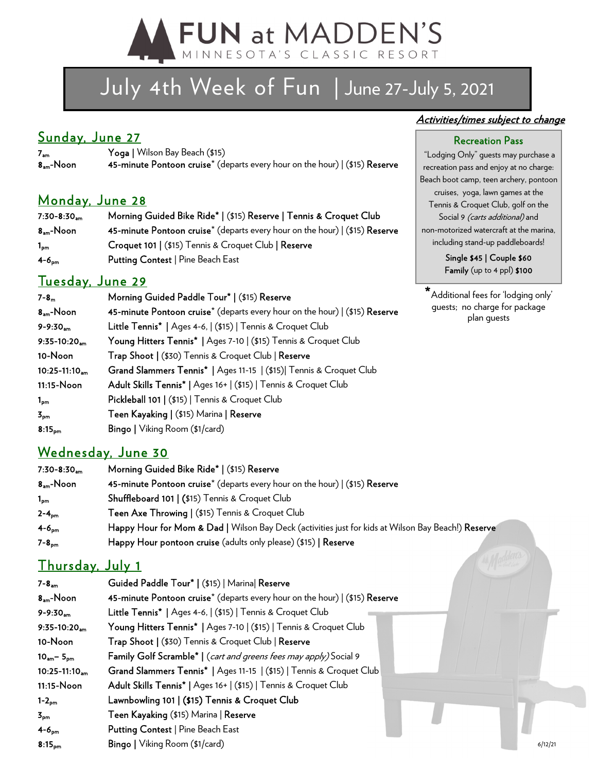

# July 4th Week of Fun | June 27-July 5, 2021

## Sunday, June 27

7am Yoga | Wilson Bay Beach (\$15) 45-minute Pontoon cruise<sup>\*</sup> (departs every hour on the hour)  $|$  (\$15) Reserve

### Monday, June 28

| $7:30 - 8:30$ <sub>am</sub> | Morning Guided Bike Ride*   (\$15) Reserve   Tennis & Croquet Club                        |
|-----------------------------|-------------------------------------------------------------------------------------------|
| $8am$ -Noon                 | 45-minute Pontoon cruise <sup>*</sup> (departs every hour on the hour) $($ (\$15) Reserve |
| $1_{\text{om}}$             | Croquet 101   (\$15) Tennis & Croquet Club   Reserve                                      |
| $4-6pm$                     | <b>Putting Contest   Pine Beach East</b>                                                  |

## Tuesday, June 29

| $7 - 8m$                   | Morning Guided Paddle Tour*   (\$15) Reserve                                            |
|----------------------------|-----------------------------------------------------------------------------------------|
| $8am$ -Noon                | 45-minute Pontoon cruise <sup>*</sup> (departs every hour on the hour)   (\$15) Reserve |
| $9 - 9:30am$               | Little Tennis*   Ages 4-6,   (\$15)   Tennis & Croquet Club                             |
| $9:35-10:20$ <sub>am</sub> | Young Hitters Tennis*   Ages 7-10   (\$15) Tennis & Croquet Club                        |
| 10-Noon                    | Trap Shoot   (\$30) Tennis & Croquet Club   Reserve                                     |
| $10:25-11:10_{am}$         | Grand Slammers Tennis*   Ages 11-15   (\$15)  Tennis & Croquet Club                     |
| 11:15-Noon                 | Adult Skills Tennis*   Ages 16+   (\$15)   Tennis & Croquet Club                        |
| $1_{\text{pm}}$            | Pickleball 101   (\$15)   Tennis & Croquet Club                                         |
| $3_{\text{pm}}$            | Teen Kayaking   (\$15) Marina   Reserve                                                 |
| 8:15 <sub>pm</sub>         | <b>Bingo</b>   Viking Room (\$1/card)                                                   |
|                            |                                                                                         |

## Wednesday, June 30

| $7:30-8:30$ <sub>am</sub> | Morning Guided Bike Ride*   (\$15) Reserve                                                         |
|---------------------------|----------------------------------------------------------------------------------------------------|
| $8am$ -Noon               | 45-minute Pontoon cruise <sup>*</sup> (departs every hour on the hour)   (\$15) Reserve            |
| $1_{\sf pm}$              | <b>Shuffleboard 101   (\$15) Tennis &amp; Croquet Club</b>                                         |
| $2 - 4_{pm}$              | Teen Axe Throwing   (\$15) Tennis & Croquet Club                                                   |
| $4 - 6_{\text{pm}}$       | Happy Hour for Mom & Dad   Wilson Bay Deck (activities just for kids at Wilson Bay Beach!) Reserve |
| $7 - 8_{\text{om}}$       | Happy Hour pontoon cruise (adults only please) (\$15)   Reserve                                    |
|                           |                                                                                                    |

## Thursday, July 1

| $7 - 8am$                     | Guided Paddle Tour*   (\$15)   Marina  Reserve                                          |
|-------------------------------|-----------------------------------------------------------------------------------------|
| $8am$ -Noon                   | 45-minute Pontoon cruise <sup>*</sup> (departs every hour on the hour)   (\$15) Reserve |
| $9 - 9:30$ <sub>am</sub>      | Little Tennis*   Ages 4-6,   (\$15)   Tennis & Croquet Club                             |
| $9:35-10:20$                  | Young Hitters Tennis*   Ages 7-10   (\$15)   Tennis & Croquet Club                      |
| 10-Noon                       | Trap Shoot   (\$30) Tennis & Croquet Club   Reserve                                     |
| $10_{am} - 5_{pm}$            | Family Golf Scramble <sup>*</sup>   (cart and greens fees may apply) Social 9           |
| $10:25 - 11:10$ <sub>am</sub> | Grand Slammers Tennis*   Ages 11-15   (\$15)   Tennis & Croquet Club                    |
| 11:15-Noon                    | Adult Skills Tennis*   Ages 16+   (\$15)   Tennis & Croquet Club                        |
| $1-2pm$                       | Lawnbowling 101   (\$15) Tennis & Croquet Club                                          |
| 5 <sub>pm</sub>               | <b>Teen Kayaking</b> (\$15) Marina   <b>Reserve</b>                                     |
| $4 - 6om$                     | Putting Contest   Pine Beach East                                                       |
| $8:15_{\text{pm}}$            | <b>Bingo</b>   Viking Room (\$1/card)<br>6/12/21                                        |

#### Activities/times subject to change

#### Recreation Pass

 "Lodging Only" guests may purchase a recreation pass and enjoy at no charge: Beach boot camp, teen archery, pontoon cruises, yoga, lawn games at the Tennis & Croquet Club, golf on the Social 9 *(carts additional)* and non-motorized watercraft at the marina, including stand-up paddleboards!

> Single \$45 | Couple \$60 Family (up to 4 ppl) \$100

\*Additional fees for 'lodging only' guests; no charge for package plan guests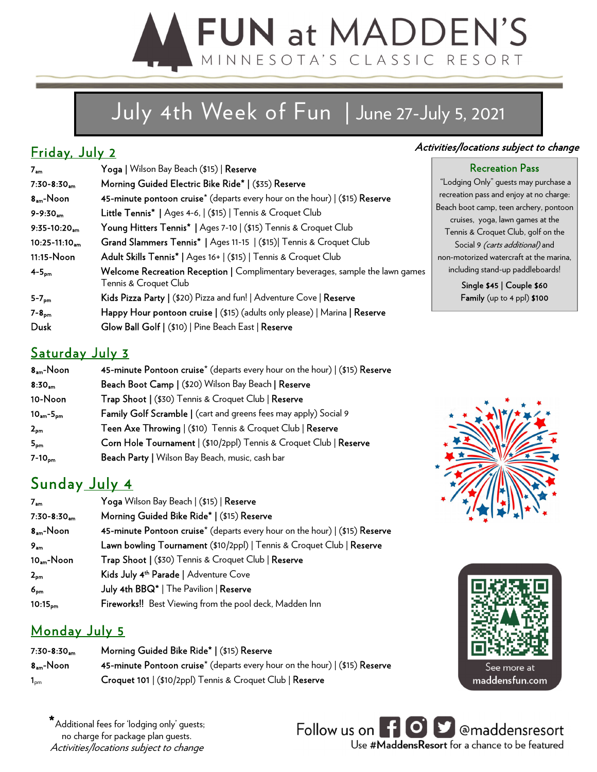# **FUN at MADDEN'S** MINNESOTA'S CLASSIC RESORT

# July 4th Week of Fun | June 27-July 5, 2021

## Friday, July 2

| 7 <sub>am</sub>               | Yoga   Wilson Bay Beach (\$15)   Reserve                                                               |                  |
|-------------------------------|--------------------------------------------------------------------------------------------------------|------------------|
| $7:30-8:30_{am}$              | Morning Guided Electric Bike Ride*   (\$35) Reserve                                                    | "Lo              |
| $8am$ -Noon                   | 45-minute pontoon cruise <sup>*</sup> (departs every hour on the hour)   (\$15) Reserve                | recr             |
| $9 - 9:30$ <sub>am</sub>      | Little Tennis*   Ages 4-6,   (\$15)   Tennis & Croquet Club                                            | Beac             |
| $9:35-10:20$ <sub>am</sub>    | Young Hitters Tennis*   Ages 7-10   (\$15) Tennis & Croquet Club                                       | $\epsilon$<br>Te |
| $10:25 - 11:10$ <sub>am</sub> | Grand Slammers Tennis*   Ages 11-15   (\$15)  Tennis & Croquet Club                                    |                  |
| 11:15-Noon                    | Adult Skills Tennis*   Ages 16+   (\$15)   Tennis & Croquet Club                                       | non-             |
| $4-5pm$                       | Welcome Recreation Reception   Complimentary beverages, sample the lawn games<br>Tennis & Croquet Club | ir               |
| $5 - 7_{\text{pm}}$           | Kids Pizza Party   (\$20) Pizza and fun!   Adventure Cove   Reserve                                    |                  |
| $7 - 8_{\text{pm}}$           | Happy Hour pontoon cruise   (\$15) (adults only please)   Marina   Reserve                             |                  |
| Dusk                          | Glow Ball Golf   (\$10)   Pine Beach East   Reserve                                                    |                  |

#### Activities/locations subject to change

#### Recreation Pass

dging Only" guests may purchase a eation pass and enjoy at no charge: h boot camp, teen archery, pontoon cruises, yoga, lawn games at the ennis & Croquet Club, golf on the Social 9 *(carts additional)* and motorized watercraft at the marina, icluding stand-up paddleboards!

Single \$45 | Couple \$60 Family (up to 4 ppl) \$100

## Saturday July 3

| $8am$ -Noon        | 45-minute Pontoon cruise <sup>*</sup> (departs every hour on the hour)   (\$15) Reserve |
|--------------------|-----------------------------------------------------------------------------------------|
| 8:30 <sub>am</sub> | Beach Boot Camp   (\$20) Wilson Bay Beach   Reserve                                     |
| 10-Noon            | Trap Shoot   (\$30) Tennis & Croquet Club   Reserve                                     |
| $10am - 5pm$       | Family Golf Scramble   (cart and greens fees may apply) Social 9                        |
| $2_{pm}$           | Teen Axe Throwing   (\$10) Tennis & Croquet Club   Reserve                              |
| 5 <sub>pm</sub>    | Corn Hole Tournament   (\$10/2ppl) Tennis & Croquet Club   Reserve                      |
| $7-10pm$           | Beach Party   Wilson Bay Beach, music, cash bar                                         |

## Sunday July 4

| 7 <sub>am</sub>           | Yoga Wilson Bay Beach   (\$15)   Reserve                                                |
|---------------------------|-----------------------------------------------------------------------------------------|
| $7:30-8:30$ <sub>am</sub> | Morning Guided Bike Ride*   (\$15) Reserve                                              |
| $8am$ -Noon               | 45-minute Pontoon cruise <sup>*</sup> (departs every hour on the hour)   (\$15) Reserve |
| 9 <sub>am</sub>           | Lawn bowling Tournament (\$10/2ppl)   Tennis & Croquet Club   Reserve                   |
| $10am$ -Noon              | Trap Shoot   (\$30) Tennis & Croquet Club   Reserve                                     |
| $2_{pm}$                  | Kids July 4 <sup>th</sup> Parade   Adventure Cove                                       |
| $6_{\text{pm}}$           | July 4th BBQ*   The Pavilion   Reserve                                                  |
| $10:15_{\text{pm}}$       | <b>Fireworks!!</b> Best Viewing from the pool deck, Madden Inn                          |

## Monday July 5

| $7:30-8:30$ <sub>am</sub>  | Morning Guided Bike Ride*   (\$15) Reserve                                               |
|----------------------------|------------------------------------------------------------------------------------------|
| 8 <sub>am</sub> -Noon      | 45-minute Pontoon cruise <sup>*</sup> (departs every hour on the hour) $($ \$15) Reserve |
| $\mathbf{1}_{\texttt{pm}}$ | Croquet 101   (\$10/2ppl) Tennis & Croquet Club   Reserve                                |





 $\star$  Additional fees for 'lodging only' guests; no charge for package plan guests. Activities/locations subject to change